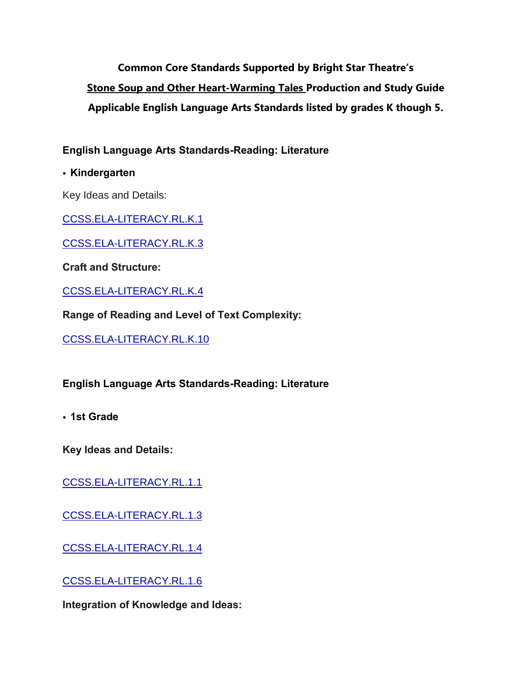**Common Core Standards Supported by Bright Star Theatre's Stone Soup and Other Heart-Warming Tales Production and Study Guide Applicable English Language Arts Standards listed by grades K though 5.**

**English Language Arts Standards-Reading: Literature**

• **Kindergarten**

Key Ideas and Details:

[CCSS.ELA-LITERACY.RL.K.1](http://www.corestandards.org/ELA-Literacy/RL/K/1/)

[CCSS.ELA-LITERACY.RL.K.3](http://www.corestandards.org/ELA-Literacy/RL/K/3/)

**Craft and Structure:**

[CCSS.ELA-LITERACY.RL.K.4](http://www.corestandards.org/ELA-Literacy/RL/K/4/)

**Range of Reading and Level of Text Complexity:**

[CCSS.ELA-LITERACY.RL.K.10](http://www.corestandards.org/ELA-Literacy/RL/K/10/)

**English Language Arts Standards-Reading: Literature**

• **1st Grade**

**Key Ideas and Details:**

[CCSS.ELA-LITERACY.RL.1.1](http://www.corestandards.org/ELA-Literacy/RL/1/1/)

[CCSS.ELA-LITERACY.RL.1.3](http://www.corestandards.org/ELA-Literacy/RL/1/3/)

[CCSS.ELA-LITERACY.RL.1.4](http://www.corestandards.org/ELA-Literacy/RL/1/4/)

[CCSS.ELA-LITERACY.RL.1.6](http://www.corestandards.org/ELA-Literacy/RL/1/6/)

**Integration of Knowledge and Ideas:**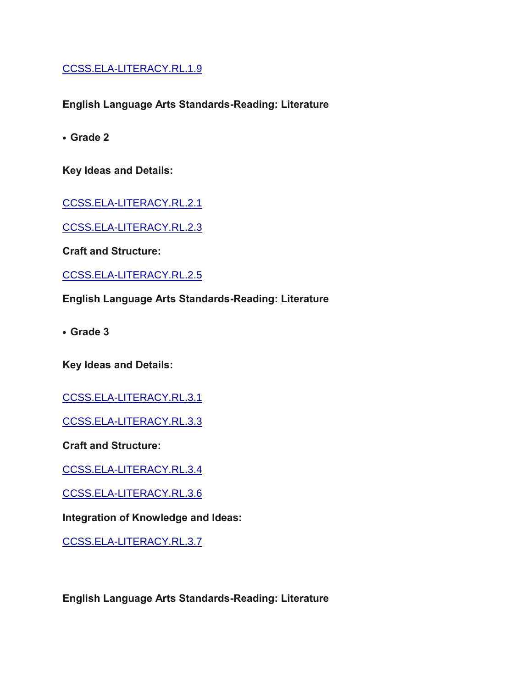[CCSS.ELA-LITERACY.RL.1.9](http://www.corestandards.org/ELA-Literacy/RL/1/9/)

**English Language Arts Standards-Reading: Literature**

**• Grade 2**

**Key Ideas and Details:**

[CCSS.ELA-LITERACY.RL.2.1](http://www.corestandards.org/ELA-Literacy/RL/2/1/)

[CCSS.ELA-LITERACY.RL.2.3](http://www.corestandards.org/ELA-Literacy/RL/2/3/)

**Craft and Structure:**

[CCSS.ELA-LITERACY.RL.2.5](http://www.corestandards.org/ELA-Literacy/RL/2/5/)

**English Language Arts Standards-Reading: Literature**

**• Grade 3**

**Key Ideas and Details:**

[CCSS.ELA-LITERACY.RL.3.1](http://www.corestandards.org/ELA-Literacy/RL/3/1/)

[CCSS.ELA-LITERACY.RL.3.3](http://www.corestandards.org/ELA-Literacy/RL/3/3/)

**Craft and Structure:**

[CCSS.ELA-LITERACY.RL.3.4](http://www.corestandards.org/ELA-Literacy/RL/3/4/)

[CCSS.ELA-LITERACY.RL.3.6](http://www.corestandards.org/ELA-Literacy/RL/3/6/)

**Integration of Knowledge and Ideas:**

[CCSS.ELA-LITERACY.RL.3.7](http://www.corestandards.org/ELA-Literacy/RL/3/7/)

**English Language Arts Standards-Reading: Literature**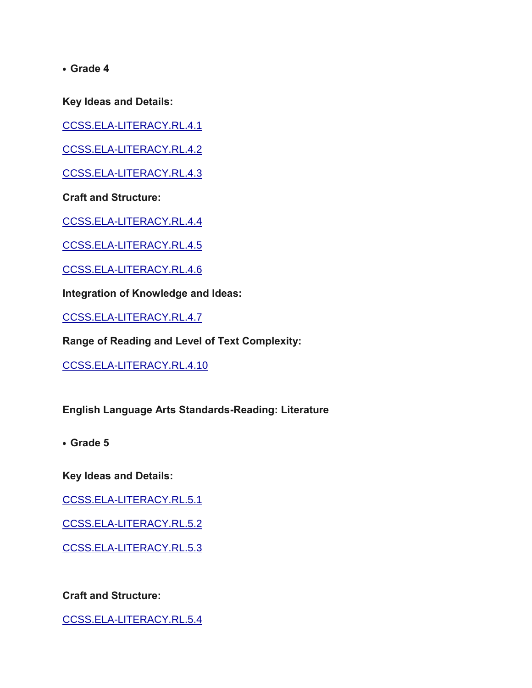**Key Ideas and Details:**

[CCSS.ELA-LITERACY.RL.4.1](http://www.corestandards.org/ELA-Literacy/RL/4/1/)

[CCSS.ELA-LITERACY.RL.4.2](http://www.corestandards.org/ELA-Literacy/RL/4/2/)

[CCSS.ELA-LITERACY.RL.4.3](http://www.corestandards.org/ELA-Literacy/RL/4/3/)

**Craft and Structure:**

[CCSS.ELA-LITERACY.RL.4.4](http://www.corestandards.org/ELA-Literacy/RL/4/4/)

[CCSS.ELA-LITERACY.RL.4.5](http://www.corestandards.org/ELA-Literacy/RL/4/5/)

[CCSS.ELA-LITERACY.RL.4.6](http://www.corestandards.org/ELA-Literacy/RL/4/6/)

**Integration of Knowledge and Ideas:**

[CCSS.ELA-LITERACY.RL.4.7](http://www.corestandards.org/ELA-Literacy/RL/4/7/)

**Range of Reading and Level of Text Complexity:**

[CCSS.ELA-LITERACY.RL.4.10](http://www.corestandards.org/ELA-Literacy/RL/4/10/)

**English Language Arts Standards-Reading: Literature**

**• Grade 5**

**Key Ideas and Details:**

[CCSS.ELA-LITERACY.RL.5.1](http://www.corestandards.org/ELA-Literacy/RL/5/1/)

[CCSS.ELA-LITERACY.RL.5.2](http://www.corestandards.org/ELA-Literacy/RL/5/2/)

[CCSS.ELA-LITERACY.RL.5.3](http://www.corestandards.org/ELA-Literacy/RL/5/3/)

**Craft and Structure:**

[CCSS.ELA-LITERACY.RL.5.4](http://www.corestandards.org/ELA-Literacy/RL/5/4/)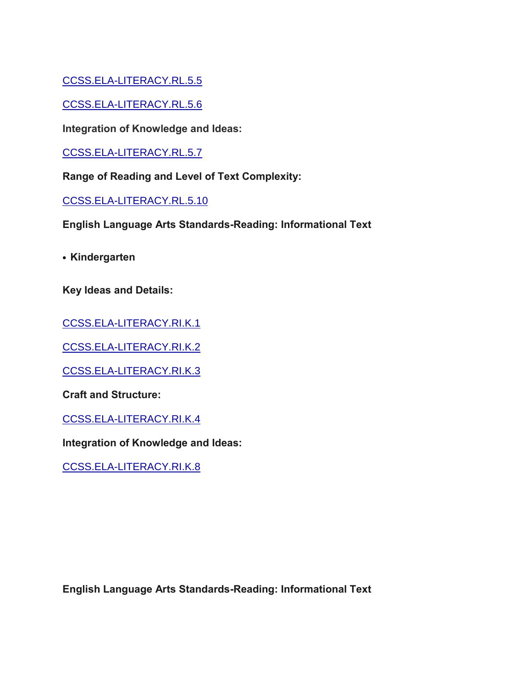## [CCSS.ELA-LITERACY.RL.5.5](http://www.corestandards.org/ELA-Literacy/RL/5/5/)

[CCSS.ELA-LITERACY.RL.5.6](http://www.corestandards.org/ELA-Literacy/RL/5/6/)

**Integration of Knowledge and Ideas:**

[CCSS.ELA-LITERACY.RL.5.7](http://www.corestandards.org/ELA-Literacy/RL/5/7/)

**Range of Reading and Level of Text Complexity:**

[CCSS.ELA-LITERACY.RL.5.10](http://www.corestandards.org/ELA-Literacy/RL/5/10/)

**English Language Arts Standards-Reading: Informational Text**

**• Kindergarten**

**Key Ideas and Details:**

[CCSS.ELA-LITERACY.RI.K.1](http://www.corestandards.org/ELA-Literacy/RI/K/1/)

[CCSS.ELA-LITERACY.RI.K.2](http://www.corestandards.org/ELA-Literacy/RI/K/2/)

[CCSS.ELA-LITERACY.RI.K.3](http://www.corestandards.org/ELA-Literacy/RI/K/3/)

**Craft and Structure:**

[CCSS.ELA-LITERACY.RI.K.4](http://www.corestandards.org/ELA-Literacy/RI/K/4/)

**Integration of Knowledge and Ideas:**

[CCSS.ELA-LITERACY.RI.K.8](http://www.corestandards.org/ELA-Literacy/RI/K/8/)

**English Language Arts Standards-Reading: Informational Text**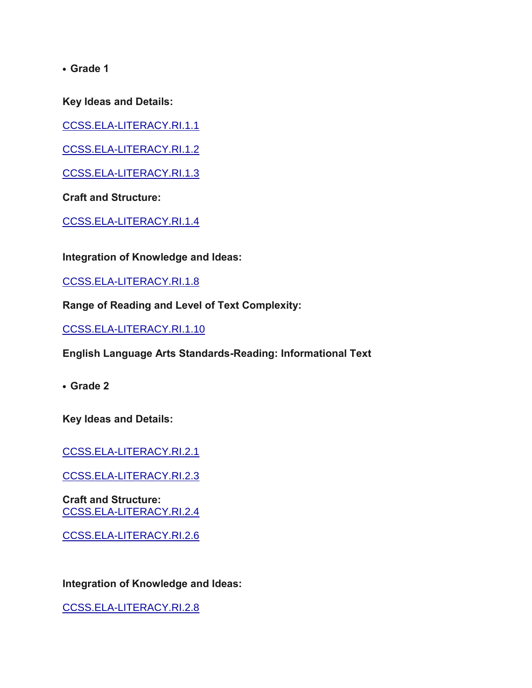**Key Ideas and Details:**

[CCSS.ELA-LITERACY.RI.1.1](http://www.corestandards.org/ELA-Literacy/RI/1/1/)

[CCSS.ELA-LITERACY.RI.1.2](http://www.corestandards.org/ELA-Literacy/RI/1/2/)

[CCSS.ELA-LITERACY.RI.1.3](http://www.corestandards.org/ELA-Literacy/RI/1/3/)

**Craft and Structure:**

[CCSS.ELA-LITERACY.RI.1.4](http://www.corestandards.org/ELA-Literacy/RI/1/4/)

**Integration of Knowledge and Ideas:**

[CCSS.ELA-LITERACY.RI.1.8](http://www.corestandards.org/ELA-Literacy/RI/1/8/)

**Range of Reading and Level of Text Complexity:**

[CCSS.ELA-LITERACY.RI.1.10](http://www.corestandards.org/ELA-Literacy/RI/1/10/)

**English Language Arts Standards-Reading: Informational Text**

**• Grade 2**

**Key Ideas and Details:**

[CCSS.ELA-LITERACY.RI.2.1](http://www.corestandards.org/ELA-Literacy/RI/2/1/)

[CCSS.ELA-LITERACY.RI.2.3](http://www.corestandards.org/ELA-Literacy/RI/2/3/)

**Craft and Structure:** [CCSS.ELA-LITERACY.RI.2.4](http://www.corestandards.org/ELA-Literacy/RI/2/4/)

[CCSS.ELA-LITERACY.RI.2.6](http://www.corestandards.org/ELA-Literacy/RI/2/6/)

**Integration of Knowledge and Ideas:**

[CCSS.ELA-LITERACY.RI.2.8](http://www.corestandards.org/ELA-Literacy/RI/2/8/)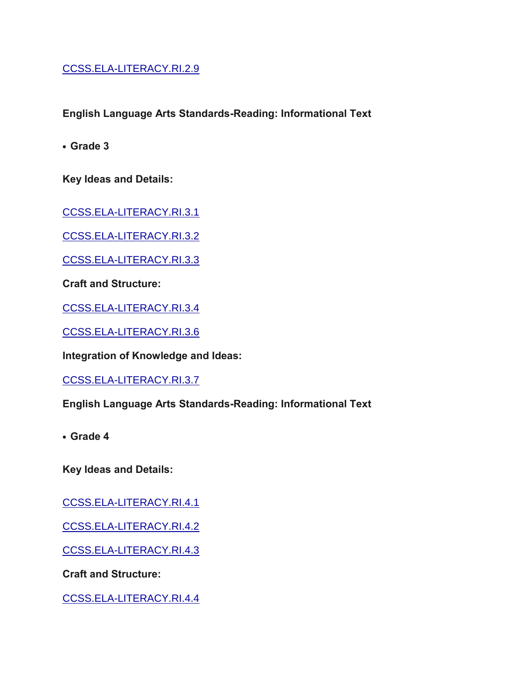## [CCSS.ELA-LITERACY.RI.2.9](http://www.corestandards.org/ELA-Literacy/RI/2/9/)

**English Language Arts Standards-Reading: Informational Text**

**• Grade 3**

**Key Ideas and Details:**

[CCSS.ELA-LITERACY.RI.3.1](http://www.corestandards.org/ELA-Literacy/RI/3/1/)

[CCSS.ELA-LITERACY.RI.3.2](http://www.corestandards.org/ELA-Literacy/RI/3/2/)

[CCSS.ELA-LITERACY.RI.3.3](http://www.corestandards.org/ELA-Literacy/RI/3/3/)

**Craft and Structure:**

[CCSS.ELA-LITERACY.RI.3.4](http://www.corestandards.org/ELA-Literacy/RI/3/4/)

[CCSS.ELA-LITERACY.RI.3.6](http://www.corestandards.org/ELA-Literacy/RI/3/6/)

**Integration of Knowledge and Ideas:**

[CCSS.ELA-LITERACY.RI.3.7](http://www.corestandards.org/ELA-Literacy/RI/3/7/)

**English Language Arts Standards-Reading: Informational Text**

**• Grade 4**

**Key Ideas and Details:**

[CCSS.ELA-LITERACY.RI.4.1](http://www.corestandards.org/ELA-Literacy/RI/4/1/)

[CCSS.ELA-LITERACY.RI.4.2](http://www.corestandards.org/ELA-Literacy/RI/4/2/)

[CCSS.ELA-LITERACY.RI.4.3](http://www.corestandards.org/ELA-Literacy/RI/4/3/)

**Craft and Structure:**

[CCSS.ELA-LITERACY.RI.4.4](http://www.corestandards.org/ELA-Literacy/RI/4/4/)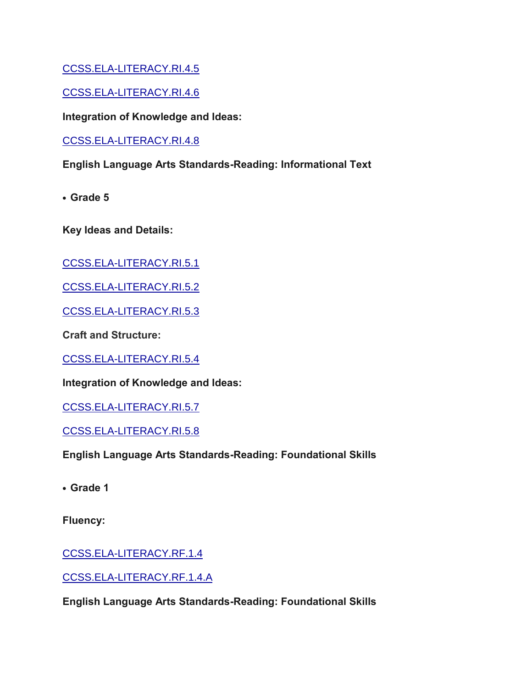[CCSS.ELA-LITERACY.RI.4.5](http://www.corestandards.org/ELA-Literacy/RI/4/5/)

[CCSS.ELA-LITERACY.RI.4.6](http://www.corestandards.org/ELA-Literacy/RI/4/6/)

**Integration of Knowledge and Ideas:**

[CCSS.ELA-LITERACY.RI.4.8](http://www.corestandards.org/ELA-Literacy/RI/4/8/)

**English Language Arts Standards-Reading: Informational Text**

**• Grade 5**

**Key Ideas and Details:**

[CCSS.ELA-LITERACY.RI.5.1](http://www.corestandards.org/ELA-Literacy/RI/5/1/)

[CCSS.ELA-LITERACY.RI.5.2](http://www.corestandards.org/ELA-Literacy/RI/5/2/)

[CCSS.ELA-LITERACY.RI.5.3](http://www.corestandards.org/ELA-Literacy/RI/5/3/)

**Craft and Structure:**

[CCSS.ELA-LITERACY.RI.5.4](http://www.corestandards.org/ELA-Literacy/RI/5/4/)

**Integration of Knowledge and Ideas:**

[CCSS.ELA-LITERACY.RI.5.7](http://www.corestandards.org/ELA-Literacy/RI/5/7/)

[CCSS.ELA-LITERACY.RI.5.8](http://www.corestandards.org/ELA-Literacy/RI/5/8/)

**English Language Arts Standards-Reading: Foundational Skills**

**• Grade 1**

**Fluency:**

[CCSS.ELA-LITERACY.RF.1.4](http://www.corestandards.org/ELA-Literacy/RF/1/4/)

[CCSS.ELA-LITERACY.RF.1.4.A](http://www.corestandards.org/ELA-Literacy/RF/1/4/a/)

**English Language Arts Standards-Reading: Foundational Skills**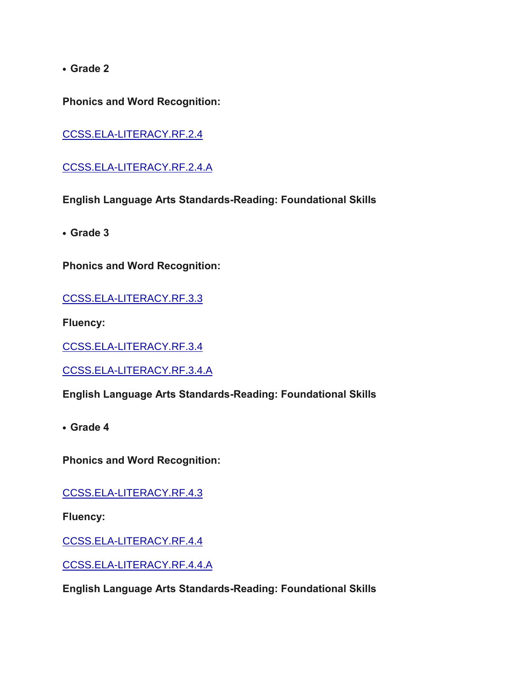**Phonics and Word Recognition:**

[CCSS.ELA-LITERACY.RF.2.4](http://www.corestandards.org/ELA-Literacy/RF/2/4/)

[CCSS.ELA-LITERACY.RF.2.4.A](http://www.corestandards.org/ELA-Literacy/RF/2/4/a/)

**English Language Arts Standards-Reading: Foundational Skills**

**• Grade 3**

**Phonics and Word Recognition:**

[CCSS.ELA-LITERACY.RF.3.3](http://www.corestandards.org/ELA-Literacy/RF/3/3/)

**Fluency:**

[CCSS.ELA-LITERACY.RF.3.4](http://www.corestandards.org/ELA-Literacy/RF/3/4/)

[CCSS.ELA-LITERACY.RF.3.4.A](http://www.corestandards.org/ELA-Literacy/RF/3/4/a/)

**English Language Arts Standards-Reading: Foundational Skills**

**• Grade 4**

**Phonics and Word Recognition:**

[CCSS.ELA-LITERACY.RF.4.3](http://www.corestandards.org/ELA-Literacy/RF/4/3/)

**Fluency:**

[CCSS.ELA-LITERACY.RF.4.4](http://www.corestandards.org/ELA-Literacy/RF/4/4/)

[CCSS.ELA-LITERACY.RF.4.4.A](http://www.corestandards.org/ELA-Literacy/RF/4/4/a/)

**English Language Arts Standards-Reading: Foundational Skills**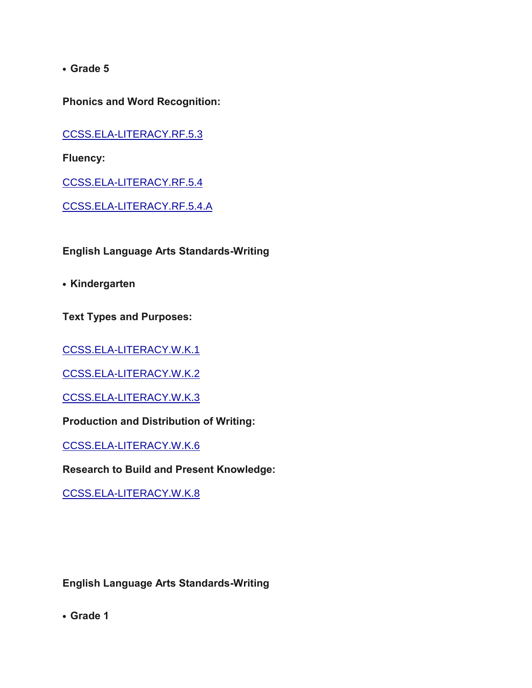**Phonics and Word Recognition:**

[CCSS.ELA-LITERACY.RF.5.3](http://www.corestandards.org/ELA-Literacy/RF/5/3/)

**Fluency:**

[CCSS.ELA-LITERACY.RF.5.4](http://www.corestandards.org/ELA-Literacy/RF/5/4/)

[CCSS.ELA-LITERACY.RF.5.4.A](http://www.corestandards.org/ELA-Literacy/RF/5/4/a/)

**English Language Arts Standards-Writing** 

**• Kindergarten**

**Text Types and Purposes:**

[CCSS.ELA-LITERACY.W.K.1](http://www.corestandards.org/ELA-Literacy/W/K/1/)

[CCSS.ELA-LITERACY.W.K.2](http://www.corestandards.org/ELA-Literacy/W/K/2/)

[CCSS.ELA-LITERACY.W.K.3](http://www.corestandards.org/ELA-Literacy/W/K/3/)

**Production and Distribution of Writing:**

[CCSS.ELA-LITERACY.W.K.6](http://www.corestandards.org/ELA-Literacy/W/K/6/)

**Research to Build and Present Knowledge:**

[CCSS.ELA-LITERACY.W.K.8](http://www.corestandards.org/ELA-Literacy/W/K/8/)

**English Language Arts Standards-Writing**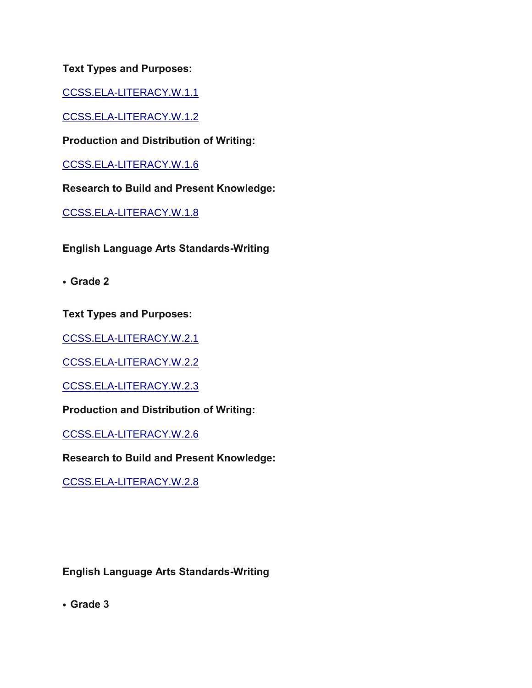[CCSS.ELA-LITERACY.W.1.1](http://www.corestandards.org/ELA-Literacy/W/1/1/)

[CCSS.ELA-LITERACY.W.1.2](http://www.corestandards.org/ELA-Literacy/W/1/2/)

**Production and Distribution of Writing:**

[CCSS.ELA-LITERACY.W.1.6](http://www.corestandards.org/ELA-Literacy/W/1/6/)

**Research to Build and Present Knowledge:**

[CCSS.ELA-LITERACY.W.1.8](http://www.corestandards.org/ELA-Literacy/W/1/8/)

**English Language Arts Standards-Writing**

**• Grade 2**

**Text Types and Purposes:**

[CCSS.ELA-LITERACY.W.2.1](http://www.corestandards.org/ELA-Literacy/W/2/1/)

[CCSS.ELA-LITERACY.W.2.2](http://www.corestandards.org/ELA-Literacy/W/2/2/)

[CCSS.ELA-LITERACY.W.2.3](http://www.corestandards.org/ELA-Literacy/W/2/3/)

**Production and Distribution of Writing:**

[CCSS.ELA-LITERACY.W.2.6](http://www.corestandards.org/ELA-Literacy/W/2/6/)

**Research to Build and Present Knowledge:**

[CCSS.ELA-LITERACY.W.2.8](http://www.corestandards.org/ELA-Literacy/W/2/8/)

**English Language Arts Standards-Writing**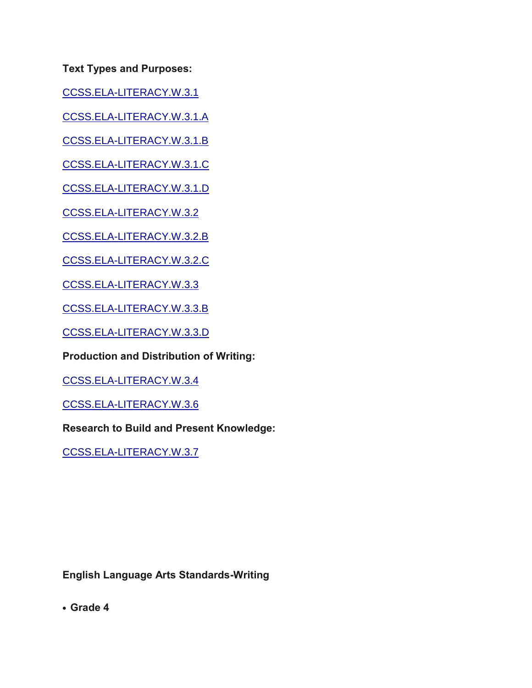[CCSS.ELA-LITERACY.W.3.1](http://www.corestandards.org/ELA-Literacy/W/3/1/)

[CCSS.ELA-LITERACY.W.3.1.A](http://www.corestandards.org/ELA-Literacy/W/3/1/a/)

[CCSS.ELA-LITERACY.W.3.1.B](http://www.corestandards.org/ELA-Literacy/W/3/1/b/)

[CCSS.ELA-LITERACY.W.3.1.C](http://www.corestandards.org/ELA-Literacy/W/3/1/c/)

[CCSS.ELA-LITERACY.W.3.1.D](http://www.corestandards.org/ELA-Literacy/W/3/1/d/)

[CCSS.ELA-LITERACY.W.3.2](http://www.corestandards.org/ELA-Literacy/W/3/2/)

[CCSS.ELA-LITERACY.W.3.2.B](http://www.corestandards.org/ELA-Literacy/W/3/2/b/)

[CCSS.ELA-LITERACY.W.3.2.C](http://www.corestandards.org/ELA-Literacy/W/3/2/c/)

[CCSS.ELA-LITERACY.W.3.3](http://www.corestandards.org/ELA-Literacy/W/3/3/)

[CCSS.ELA-LITERACY.W.3.3.B](http://www.corestandards.org/ELA-Literacy/W/3/3/b/)

[CCSS.ELA-LITERACY.W.3.3.D](http://www.corestandards.org/ELA-Literacy/W/3/3/d/)

**Production and Distribution of Writing:**

[CCSS.ELA-LITERACY.W.3.4](http://www.corestandards.org/ELA-Literacy/W/3/4/)

[CCSS.ELA-LITERACY.W.3.6](http://www.corestandards.org/ELA-Literacy/W/3/6/)

**Research to Build and Present Knowledge:**

[CCSS.ELA-LITERACY.W.3.7](http://www.corestandards.org/ELA-Literacy/W/3/7/)

**English Language Arts Standards-Writing**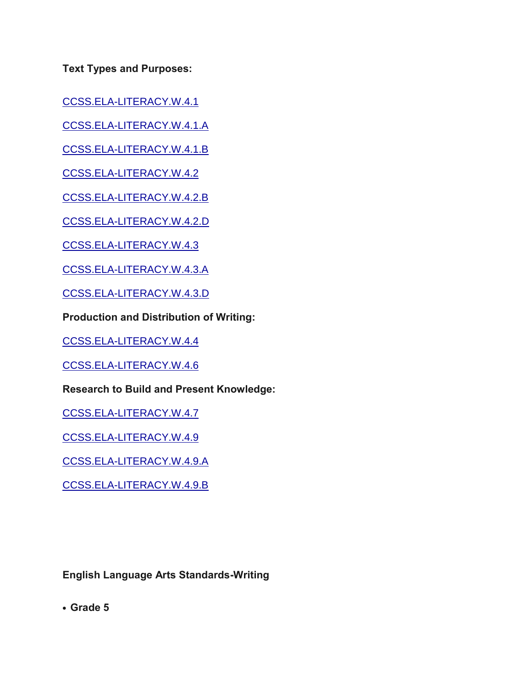[CCSS.ELA-LITERACY.W.4.1](http://www.corestandards.org/ELA-Literacy/W/4/1/)

[CCSS.ELA-LITERACY.W.4.1.A](http://www.corestandards.org/ELA-Literacy/W/4/1/a/)

[CCSS.ELA-LITERACY.W.4.1.B](http://www.corestandards.org/ELA-Literacy/W/4/1/b/)

[CCSS.ELA-LITERACY.W.4.2](http://www.corestandards.org/ELA-Literacy/W/4/2/)

[CCSS.ELA-LITERACY.W.4.2.B](http://www.corestandards.org/ELA-Literacy/W/4/2/b/)

[CCSS.ELA-LITERACY.W.4.2.D](http://www.corestandards.org/ELA-Literacy/W/4/2/d/)

[CCSS.ELA-LITERACY.W.4.3](http://www.corestandards.org/ELA-Literacy/W/4/3/)

[CCSS.ELA-LITERACY.W.4.3.A](http://www.corestandards.org/ELA-Literacy/W/4/3/a/)

[CCSS.ELA-LITERACY.W.4.3.D](http://www.corestandards.org/ELA-Literacy/W/4/3/d/)

**Production and Distribution of Writing:**

[CCSS.ELA-LITERACY.W.4.4](http://www.corestandards.org/ELA-Literacy/W/4/4/)

[CCSS.ELA-LITERACY.W.4.6](http://www.corestandards.org/ELA-Literacy/W/4/6/)

**Research to Build and Present Knowledge:**

[CCSS.ELA-LITERACY.W.4.7](http://www.corestandards.org/ELA-Literacy/W/4/7/)

[CCSS.ELA-LITERACY.W.4.9](http://www.corestandards.org/ELA-Literacy/W/4/9/)

[CCSS.ELA-LITERACY.W.4.9.A](http://www.corestandards.org/ELA-Literacy/W/4/9/a/)

[CCSS.ELA-LITERACY.W.4.9.B](http://www.corestandards.org/ELA-Literacy/W/4/9/b/)

**English Language Arts Standards-Writing**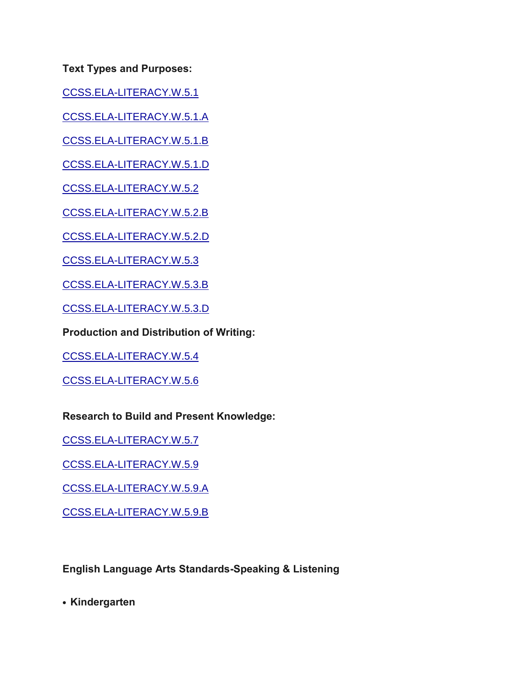[CCSS.ELA-LITERACY.W.5.1](http://www.corestandards.org/ELA-Literacy/W/5/1/)

[CCSS.ELA-LITERACY.W.5.1.A](http://www.corestandards.org/ELA-Literacy/W/5/1/a/)

[CCSS.ELA-LITERACY.W.5.1.B](http://www.corestandards.org/ELA-Literacy/W/5/1/b/)

[CCSS.ELA-LITERACY.W.5.1.D](http://www.corestandards.org/ELA-Literacy/W/5/1/d/)

[CCSS.ELA-LITERACY.W.5.2](http://www.corestandards.org/ELA-Literacy/W/5/2/)

[CCSS.ELA-LITERACY.W.5.2.B](http://www.corestandards.org/ELA-Literacy/W/5/2/b/)

[CCSS.ELA-LITERACY.W.5.2.D](http://www.corestandards.org/ELA-Literacy/W/5/2/d/)

[CCSS.ELA-LITERACY.W.5.3](http://www.corestandards.org/ELA-Literacy/W/5/3/)

[CCSS.ELA-LITERACY.W.5.3.B](http://www.corestandards.org/ELA-Literacy/W/5/3/b/)

[CCSS.ELA-LITERACY.W.5.3.D](http://www.corestandards.org/ELA-Literacy/W/5/3/d/)

**Production and Distribution of Writing:**

[CCSS.ELA-LITERACY.W.5.4](http://www.corestandards.org/ELA-Literacy/W/5/4/)

[CCSS.ELA-LITERACY.W.5.6](http://www.corestandards.org/ELA-Literacy/W/5/6/)

**Research to Build and Present Knowledge:**

[CCSS.ELA-LITERACY.W.5.7](http://www.corestandards.org/ELA-Literacy/W/5/7/)

[CCSS.ELA-LITERACY.W.5.9](http://www.corestandards.org/ELA-Literacy/W/5/9/)

[CCSS.ELA-LITERACY.W.5.9.A](http://www.corestandards.org/ELA-Literacy/W/5/9/a/)

[CCSS.ELA-LITERACY.W.5.9.B](http://www.corestandards.org/ELA-Literacy/W/5/9/b/)

**English Language Arts Standards-Speaking & Listening**

**• Kindergarten**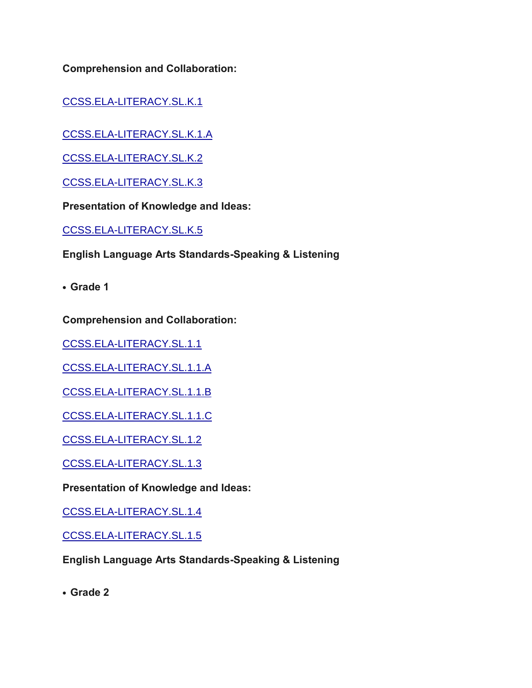**Comprehension and Collaboration:**

[CCSS.ELA-LITERACY.SL.K.1](http://www.corestandards.org/ELA-Literacy/SL/K/1/)

[CCSS.ELA-LITERACY.SL.K.1.A](http://www.corestandards.org/ELA-Literacy/SL/K/1/a/)

[CCSS.ELA-LITERACY.SL.K.2](http://www.corestandards.org/ELA-Literacy/SL/K/2/)

[CCSS.ELA-LITERACY.SL.K.3](http://www.corestandards.org/ELA-Literacy/SL/K/3/)

**Presentation of Knowledge and Ideas:**

[CCSS.ELA-LITERACY.SL.K.5](http://www.corestandards.org/ELA-Literacy/SL/K/5/)

**English Language Arts Standards-Speaking & Listening**

**• Grade 1**

**Comprehension and Collaboration:**

[CCSS.ELA-LITERACY.SL.1.1](http://www.corestandards.org/ELA-Literacy/SL/1/1/)

[CCSS.ELA-LITERACY.SL.1.1.A](http://www.corestandards.org/ELA-Literacy/SL/1/1/a/)

[CCSS.ELA-LITERACY.SL.1.1.B](http://www.corestandards.org/ELA-Literacy/SL/1/1/b/)

[CCSS.ELA-LITERACY.SL.1.1.C](http://www.corestandards.org/ELA-Literacy/SL/1/1/c/)

[CCSS.ELA-LITERACY.SL.1.2](http://www.corestandards.org/ELA-Literacy/SL/1/2/)

[CCSS.ELA-LITERACY.SL.1.3](http://www.corestandards.org/ELA-Literacy/SL/1/3/)

**Presentation of Knowledge and Ideas:**

[CCSS.ELA-LITERACY.SL.1.4](http://www.corestandards.org/ELA-Literacy/SL/1/4/)

[CCSS.ELA-LITERACY.SL.1.5](http://www.corestandards.org/ELA-Literacy/SL/1/5/)

**English Language Arts Standards-Speaking & Listening**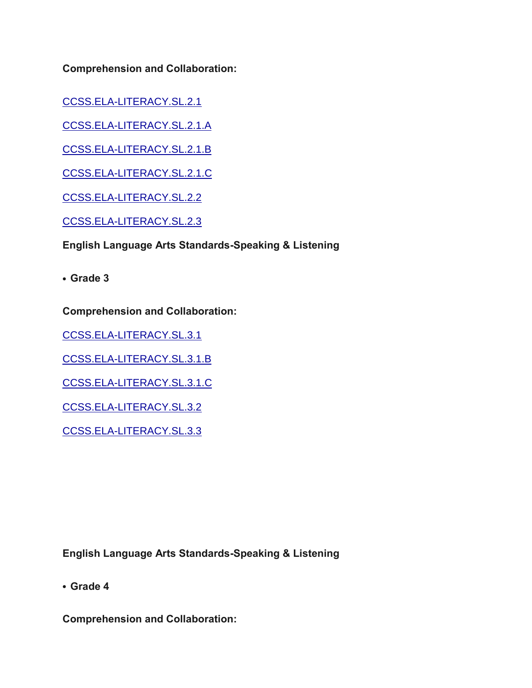**Comprehension and Collaboration:**

[CCSS.ELA-LITERACY.SL.2.1](http://www.corestandards.org/ELA-Literacy/SL/2/1/)

[CCSS.ELA-LITERACY.SL.2.1.A](http://www.corestandards.org/ELA-Literacy/SL/2/1/a/)

[CCSS.ELA-LITERACY.SL.2.1.B](http://www.corestandards.org/ELA-Literacy/SL/2/1/b/)

[CCSS.ELA-LITERACY.SL.2.1.C](http://www.corestandards.org/ELA-Literacy/SL/2/1/c/)

[CCSS.ELA-LITERACY.SL.2.2](http://www.corestandards.org/ELA-Literacy/SL/2/2/)

[CCSS.ELA-LITERACY.SL.2.3](http://www.corestandards.org/ELA-Literacy/SL/2/3/)

**English Language Arts Standards-Speaking & Listening**

**• Grade 3**

**Comprehension and Collaboration:**

[CCSS.ELA-LITERACY.SL.3.1](http://www.corestandards.org/ELA-Literacy/SL/3/1/)

[CCSS.ELA-LITERACY.SL.3.1.B](http://www.corestandards.org/ELA-Literacy/SL/3/1/b/)

[CCSS.ELA-LITERACY.SL.3.1.C](http://www.corestandards.org/ELA-Literacy/SL/3/1/c/)

[CCSS.ELA-LITERACY.SL.3.2](http://www.corestandards.org/ELA-Literacy/SL/3/2/)

[CCSS.ELA-LITERACY.SL.3.3](http://www.corestandards.org/ELA-Literacy/SL/3/3/)

**English Language Arts Standards-Speaking & Listening**

**• Grade 4**

**Comprehension and Collaboration:**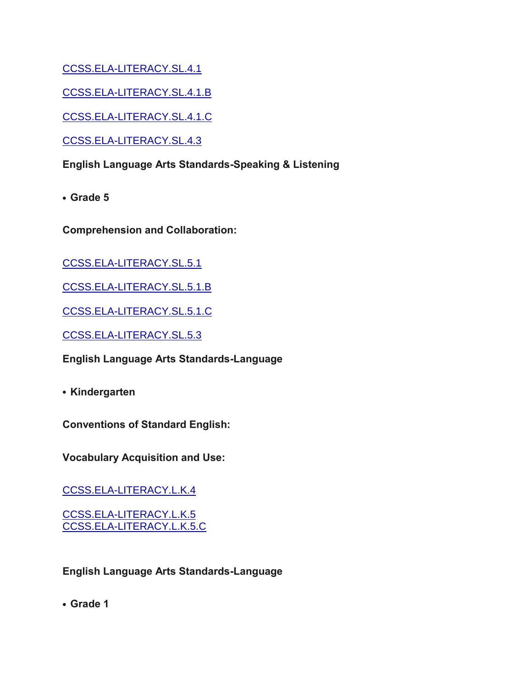[CCSS.ELA-LITERACY.SL.4.1](http://www.corestandards.org/ELA-Literacy/SL/4/1/)

[CCSS.ELA-LITERACY.SL.4.1.B](http://www.corestandards.org/ELA-Literacy/SL/4/1/b/)

[CCSS.ELA-LITERACY.SL.4.1.C](http://www.corestandards.org/ELA-Literacy/SL/4/1/c/)

[CCSS.ELA-LITERACY.SL.4.3](http://www.corestandards.org/ELA-Literacy/SL/4/3/)

**English Language Arts Standards-Speaking & Listening**

**• Grade 5**

**Comprehension and Collaboration:**

[CCSS.ELA-LITERACY.SL.5.1](http://www.corestandards.org/ELA-Literacy/SL/5/1/)

[CCSS.ELA-LITERACY.SL.5.1.B](http://www.corestandards.org/ELA-Literacy/SL/5/1/b/)

[CCSS.ELA-LITERACY.SL.5.1.C](http://www.corestandards.org/ELA-Literacy/SL/5/1/c/)

[CCSS.ELA-LITERACY.SL.5.3](http://www.corestandards.org/ELA-Literacy/SL/5/3/)

**English Language Arts Standards-Language**

**• Kindergarten**

**Conventions of Standard English:**

**Vocabulary Acquisition and Use:**

[CCSS.ELA-LITERACY.L.K.4](http://www.corestandards.org/ELA-Literacy/L/K/4/)

[CCSS.ELA-LITERACY.L.K.5](http://www.corestandards.org/ELA-Literacy/L/K/5/) [CCSS.ELA-LITERACY.L.K.5.C](http://www.corestandards.org/ELA-Literacy/L/K/5/c/)

**English Language Arts Standards-Language**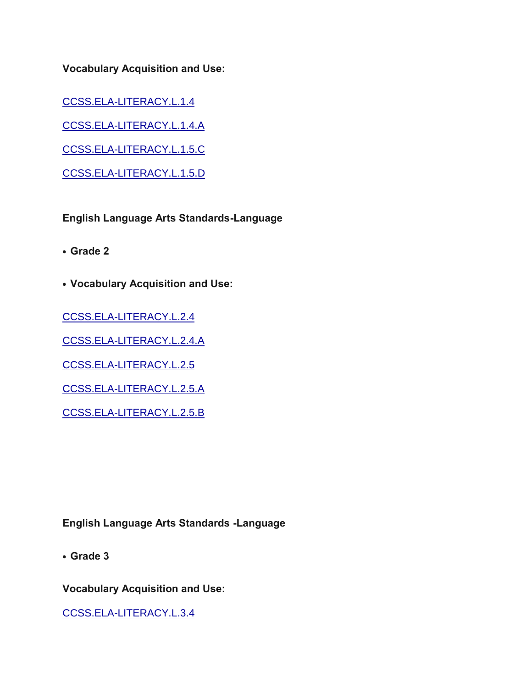**Vocabulary Acquisition and Use:**

[CCSS.ELA-LITERACY.L.1.4](http://www.corestandards.org/ELA-Literacy/L/1/4/)

[CCSS.ELA-LITERACY.L.1.4.A](http://www.corestandards.org/ELA-Literacy/L/1/4/a/)

[CCSS.ELA-LITERACY.L.1.5.C](http://www.corestandards.org/ELA-Literacy/L/1/5/c/)

[CCSS.ELA-LITERACY.L.1.5.D](http://www.corestandards.org/ELA-Literacy/L/1/5/d/)

**English Language Arts Standards-Language**

**• Grade 2**

**• Vocabulary Acquisition and Use:**

[CCSS.ELA-LITERACY.L.2.4](http://www.corestandards.org/ELA-Literacy/L/2/4/)

[CCSS.ELA-LITERACY.L.2.4.A](http://www.corestandards.org/ELA-Literacy/L/2/4/a/)

[CCSS.ELA-LITERACY.L.2.5](http://www.corestandards.org/ELA-Literacy/L/2/5/)

[CCSS.ELA-LITERACY.L.2.5.A](http://www.corestandards.org/ELA-Literacy/L/2/5/a/)

[CCSS.ELA-LITERACY.L.2.5.B](http://www.corestandards.org/ELA-Literacy/L/2/5/b/)

**English Language Arts Standards -Language**

**• Grade 3**

**Vocabulary Acquisition and Use:**

[CCSS.ELA-LITERACY.L.3.4](http://www.corestandards.org/ELA-Literacy/L/3/4/)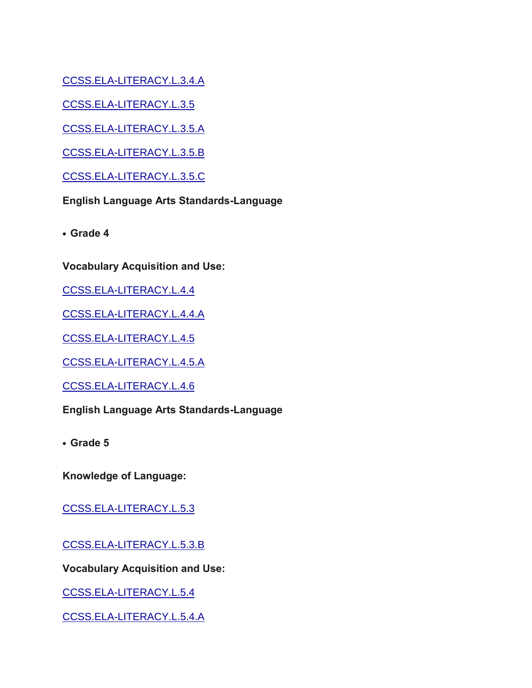[CCSS.ELA-LITERACY.L.3.4.A](http://www.corestandards.org/ELA-Literacy/L/3/4/a/)

[CCSS.ELA-LITERACY.L.3.5](http://www.corestandards.org/ELA-Literacy/L/3/5/)

[CCSS.ELA-LITERACY.L.3.5.A](http://www.corestandards.org/ELA-Literacy/L/3/5/a/)

[CCSS.ELA-LITERACY.L.3.5.B](http://www.corestandards.org/ELA-Literacy/L/3/5/b/)

[CCSS.ELA-LITERACY.L.3.5.C](http://www.corestandards.org/ELA-Literacy/L/3/5/c/)

**English Language Arts Standards-Language**

**• Grade 4**

**Vocabulary Acquisition and Use:**

[CCSS.ELA-LITERACY.L.4.4](http://www.corestandards.org/ELA-Literacy/L/4/4/)

[CCSS.ELA-LITERACY.L.4.4.A](http://www.corestandards.org/ELA-Literacy/L/4/4/a/)

[CCSS.ELA-LITERACY.L.4.5](http://www.corestandards.org/ELA-Literacy/L/4/5/)

[CCSS.ELA-LITERACY.L.4.5.A](http://www.corestandards.org/ELA-Literacy/L/4/5/a/)

[CCSS.ELA-LITERACY.L.4.6](http://www.corestandards.org/ELA-Literacy/L/4/6/)

**English Language Arts Standards-Language**

**• Grade 5**

**Knowledge of Language:**

[CCSS.ELA-LITERACY.L.5.3](http://www.corestandards.org/ELA-Literacy/L/5/3/)

[CCSS.ELA-LITERACY.L.5.3.B](http://www.corestandards.org/ELA-Literacy/L/5/3/b/)

**Vocabulary Acquisition and Use:**

[CCSS.ELA-LITERACY.L.5.4](http://www.corestandards.org/ELA-Literacy/L/5/4/)

[CCSS.ELA-LITERACY.L.5.4.A](http://www.corestandards.org/ELA-Literacy/L/5/4/a/)